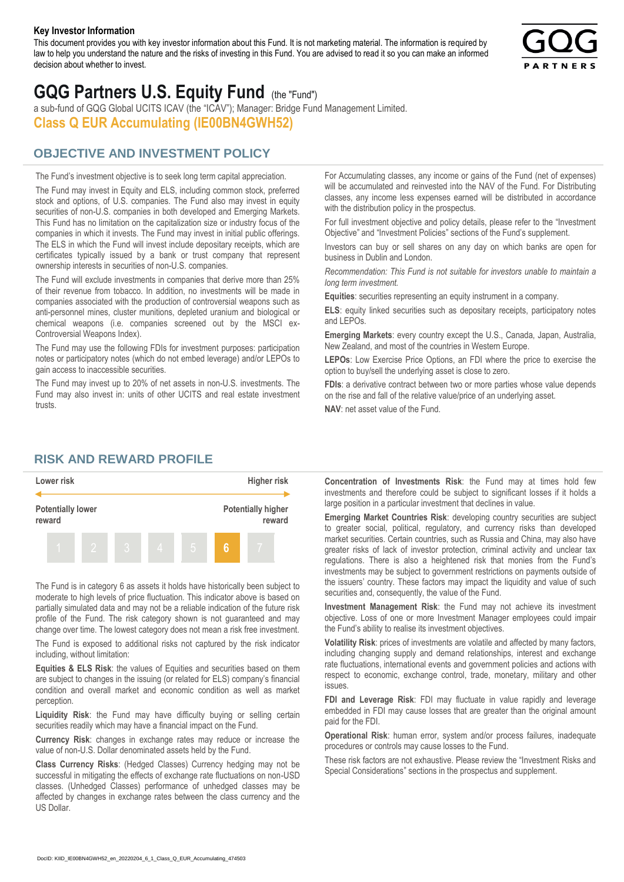#### **Key Investor Information**

This document provides you with key investor information about this Fund. It is not marketing material. The information is required by law to help you understand the nature and the risks of investing in this Fund. You are advised to read it so you can make an informed decision about whether to invest.



# **GQG Partners U.S. Equity Fund** (the "Fund")

a sub-fund of GQG Global UCITS ICAV (the "ICAV"); Manager: Bridge Fund Management Limited. **Class Q EUR Accumulating (IE00BN4GWH52)**

### **OBJECTIVE AND INVESTMENT POLICY**

The Fund's investment objective is to seek long term capital appreciation. The Fund may invest in Equity and ELS, including common stock, preferred stock and options, of U.S. companies. The Fund also may invest in equity securities of non-U.S. companies in both developed and Emerging Markets. This Fund has no limitation on the capitalization size or industry focus of the companies in which it invests. The Fund may invest in initial public offerings. The ELS in which the Fund will invest include depositary receipts, which are certificates typically issued by a bank or trust company that represent ownership interests in securities of non-U.S. companies.

The Fund will exclude investments in companies that derive more than 25% of their revenue from tobacco. In addition, no investments will be made in companies associated with the production of controversial weapons such as anti-personnel mines, cluster munitions, depleted uranium and biological or chemical weapons (i.e. companies screened out by the MSCI ex-Controversial Weapons Index).

The Fund may use the following FDIs for investment purposes: participation notes or participatory notes (which do not embed leverage) and/or LEPOs to gain access to inaccessible securities.

The Fund may invest up to 20% of net assets in non-U.S. investments. The Fund may also invest in: units of other UCITS and real estate investment trusts.

For Accumulating classes, any income or gains of the Fund (net of expenses) will be accumulated and reinvested into the NAV of the Fund. For Distributing classes, any income less expenses earned will be distributed in accordance with the distribution policy in the prospectus.

For full investment objective and policy details, please refer to the "Investment Objective" and "Investment Policies" sections of the Fund's supplement.

Investors can buy or sell shares on any day on which banks are open for business in Dublin and London.

*Recommendation: This Fund is not suitable for investors unable to maintain a long term investment.*

**Equities**: securities representing an equity instrument in a company.

**ELS**: equity linked securities such as depositary receipts, participatory notes and LEPOs.

**Emerging Markets**: every country except the U.S., Canada, Japan, Australia, New Zealand, and most of the countries in Western Europe.

**LEPOs**: Low Exercise Price Options, an FDI where the price to exercise the option to buy/sell the underlying asset is close to zero.

**FDIs**: a derivative contract between two or more parties whose value depends on the rise and fall of the relative value/price of an underlying asset.

**NAV**: net asset value of the Fund.

#### **RISK AND REWARD PROFILE**



The Fund is in category 6 as assets it holds have historically been subject to moderate to high levels of price fluctuation. This indicator above is based on partially simulated data and may not be a reliable indication of the future risk profile of the Fund. The risk category shown is not guaranteed and may change over time. The lowest category does not mean a risk free investment.

The Fund is exposed to additional risks not captured by the risk indicator including, without limitation:

**Equities & ELS Risk**: the values of Equities and securities based on them are subject to changes in the issuing (or related for ELS) company's financial condition and overall market and economic condition as well as market perception.

**Liquidity Risk**: the Fund may have difficulty buying or selling certain securities readily which may have a financial impact on the Fund.

**Currency Risk**: changes in exchange rates may reduce or increase the value of non-U.S. Dollar denominated assets held by the Fund.

**Class Currency Risks**: (Hedged Classes) Currency hedging may not be successful in mitigating the effects of exchange rate fluctuations on non-USD classes. (Unhedged Classes) performance of unhedged classes may be affected by changes in exchange rates between the class currency and the US Dollar.

**Concentration of Investments Risk**: the Fund may at times hold few investments and therefore could be subject to significant losses if it holds a large position in a particular investment that declines in value.

**Emerging Market Countries Risk**: developing country securities are subject to greater social, political, regulatory, and currency risks than developed market securities. Certain countries, such as Russia and China, may also have greater risks of lack of investor protection, criminal activity and unclear tax regulations. There is also a heightened risk that monies from the Fund's investments may be subject to government restrictions on payments outside of the issuers' country. These factors may impact the liquidity and value of such securities and, consequently, the value of the Fund.

**Investment Management Risk**: the Fund may not achieve its investment objective. Loss of one or more Investment Manager employees could impair the Fund's ability to realise its investment objectives.

**Volatility Risk**: prices of investments are volatile and affected by many factors, including changing supply and demand relationships, interest and exchange rate fluctuations, international events and government policies and actions with respect to economic, exchange control, trade, monetary, military and other issues.

**FDI and Leverage Risk**: FDI may fluctuate in value rapidly and leverage embedded in FDI may cause losses that are greater than the original amount paid for the FDI.

**Operational Risk**: human error, system and/or process failures, inadequate procedures or controls may cause losses to the Fund.

These risk factors are not exhaustive. Please review the "Investment Risks and Special Considerations" sections in the prospectus and supplement.